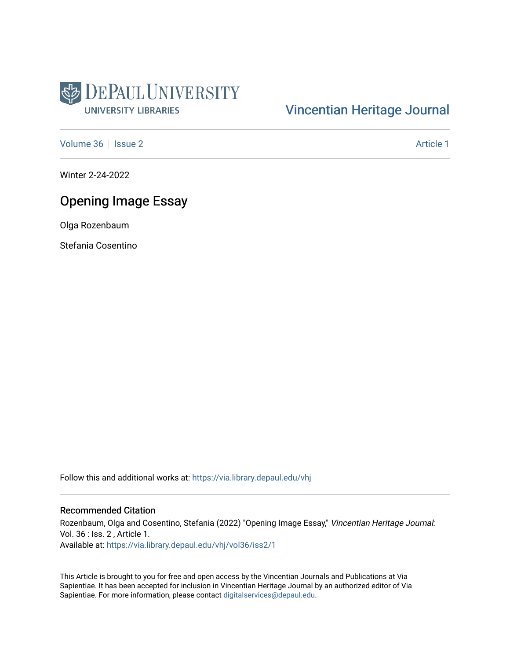

## [Vincentian Heritage Journal](https://via.library.depaul.edu/vhj)

[Volume 36](https://via.library.depaul.edu/vhj/vol36) | [Issue 2](https://via.library.depaul.edu/vhj/vol36/iss2) Article 1

Winter 2-24-2022

## Opening Image Essay

Olga Rozenbaum

Stefania Cosentino

Follow this and additional works at: [https://via.library.depaul.edu/vhj](https://via.library.depaul.edu/vhj?utm_source=via.library.depaul.edu%2Fvhj%2Fvol36%2Fiss2%2F1&utm_medium=PDF&utm_campaign=PDFCoverPages) 

## Recommended Citation

Rozenbaum, Olga and Cosentino, Stefania (2022) "Opening Image Essay," Vincentian Heritage Journal: Vol. 36 : Iss. 2 , Article 1. Available at: [https://via.library.depaul.edu/vhj/vol36/iss2/1](https://via.library.depaul.edu/vhj/vol36/iss2/1?utm_source=via.library.depaul.edu%2Fvhj%2Fvol36%2Fiss2%2F1&utm_medium=PDF&utm_campaign=PDFCoverPages) 

This Article is brought to you for free and open access by the Vincentian Journals and Publications at Via Sapientiae. It has been accepted for inclusion in Vincentian Heritage Journal by an authorized editor of Via Sapientiae. For more information, please contact [digitalservices@depaul.edu](mailto:digitalservices@depaul.edu).